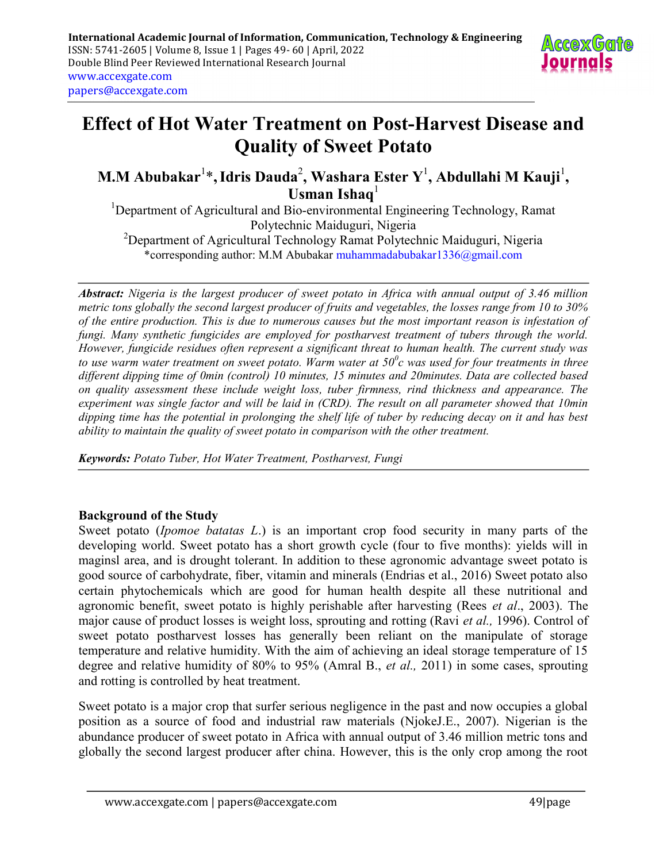

# Effect of Hot Water Treatment on Post-Harvest Disease and Quality of Sweet Potato

M.M Abubakar $^{1*}$ , Idris Dauda $^{2}$ , Washara Ester  $\mathbf{Y}^{1}$ , Abdullahi M Kauji $^{1}$ , Usman Ishaq $^1$ 

<sup>1</sup>Department of Agricultural and Bio-environmental Engineering Technology, Ramat Polytechnic Maiduguri, Nigeria

<sup>2</sup>Department of Agricultural Technology Ramat Polytechnic Maiduguri, Nigeria \*corresponding author: M.M Abubakar muhammadabubakar1336@gmail.com

Abstract: Nigeria is the largest producer of sweet potato in Africa with annual output of 3.46 million metric tons globally the second largest producer of fruits and vegetables, the losses range from 10 to 30% of the entire production. This is due to numerous causes but the most important reason is infestation of fungi. Many synthetic fungicides are employed for postharvest treatment of tubers through the world. However, fungicide residues often represent a significant threat to human health. The current study was to use warm water treatment on sweet potato. Warm water at 50 $^0c$  was used for four treatments in three different dipping time of 0min (control) 10 minutes, 15 minutes and 20minutes. Data are collected based on quality assessment these include weight loss, tuber firmness, rind thickness and appearance. The experiment was single factor and will be laid in (CRD). The result on all parameter showed that 10min dipping time has the potential in prolonging the shelf life of tuber by reducing decay on it and has best ability to maintain the quality of sweet potato in comparison with the other treatment.

Keywords: Potato Tuber, Hot Water Treatment, Postharvest, Fungi

#### Background of the Study

Sweet potato *(Ipomoe batatas L.)* is an important crop food security in many parts of the developing world. Sweet potato has a short growth cycle (four to five months): yields will in maginsl area, and is drought tolerant. In addition to these agronomic advantage sweet potato is good source of carbohydrate, fiber, vitamin and minerals (Endrias et al., 2016) Sweet potato also certain phytochemicals which are good for human health despite all these nutritional and agronomic benefit, sweet potato is highly perishable after harvesting (Rees et al., 2003). The major cause of product losses is weight loss, sprouting and rotting (Ravi et al., 1996). Control of sweet potato postharvest losses has generally been reliant on the manipulate of storage temperature and relative humidity. With the aim of achieving an ideal storage temperature of 15 degree and relative humidity of 80% to 95% (Amral B., *et al.*, 2011) in some cases, sprouting and rotting is controlled by heat treatment.

Sweet potato is a major crop that surfer serious negligence in the past and now occupies a global position as a source of food and industrial raw materials (NjokeJ.E., 2007). Nigerian is the abundance producer of sweet potato in Africa with annual output of 3.46 million metric tons and globally the second largest producer after china. However, this is the only crop among the root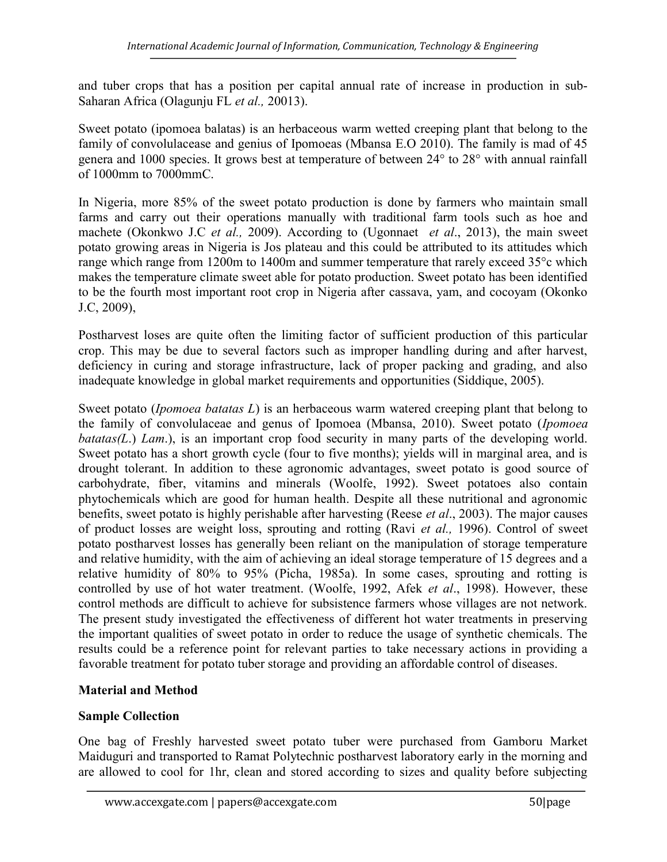and tuber crops that has a position per capital annual rate of increase in production in sub-Saharan Africa (Olagunju FL et al., 20013).

Sweet potato (ipomoea balatas) is an herbaceous warm wetted creeping plant that belong to the family of convolulacease and genius of Ipomoeas (Mbansa E.O 2010). The family is mad of 45 genera and 1000 species. It grows best at temperature of between 24° to 28° with annual rainfall of 1000mm to 7000mmC.

In Nigeria, more 85% of the sweet potato production is done by farmers who maintain small farms and carry out their operations manually with traditional farm tools such as hoe and machete (Okonkwo J.C *et al.*, 2009). According to (Ugonnaet *et al.*, 2013), the main sweet potato growing areas in Nigeria is Jos plateau and this could be attributed to its attitudes which range which range from 1200m to 1400m and summer temperature that rarely exceed 35°c which makes the temperature climate sweet able for potato production. Sweet potato has been identified to be the fourth most important root crop in Nigeria after cassava, yam, and cocoyam (Okonko J.C, 2009),

Postharvest loses are quite often the limiting factor of sufficient production of this particular crop. This may be due to several factors such as improper handling during and after harvest, deficiency in curing and storage infrastructure, lack of proper packing and grading, and also inadequate knowledge in global market requirements and opportunities (Siddique, 2005).

Sweet potato (*Ipomoea batatas L*) is an herbaceous warm watered creeping plant that belong to the family of convolulaceae and genus of Ipomoea (Mbansa, 2010). Sweet potato (Ipomoea  $batatas(L)$  Lam.), is an important crop food security in many parts of the developing world. Sweet potato has a short growth cycle (four to five months); yields will in marginal area, and is drought tolerant. In addition to these agronomic advantages, sweet potato is good source of carbohydrate, fiber, vitamins and minerals (Woolfe, 1992). Sweet potatoes also contain phytochemicals which are good for human health. Despite all these nutritional and agronomic benefits, sweet potato is highly perishable after harvesting (Reese *et al.*, 2003). The major causes of product losses are weight loss, sprouting and rotting (Ravi et al., 1996). Control of sweet potato postharvest losses has generally been reliant on the manipulation of storage temperature and relative humidity, with the aim of achieving an ideal storage temperature of 15 degrees and a relative humidity of 80% to 95% (Picha, 1985a). In some cases, sprouting and rotting is controlled by use of hot water treatment. (Woolfe, 1992, Afek et al., 1998). However, these control methods are difficult to achieve for subsistence farmers whose villages are not network. The present study investigated the effectiveness of different hot water treatments in preserving the important qualities of sweet potato in order to reduce the usage of synthetic chemicals. The results could be a reference point for relevant parties to take necessary actions in providing a favorable treatment for potato tuber storage and providing an affordable control of diseases.

#### Material and Method

# Sample Collection

One bag of Freshly harvested sweet potato tuber were purchased from Gamboru Market Maiduguri and transported to Ramat Polytechnic postharvest laboratory early in the morning and are allowed to cool for 1hr, clean and stored according to sizes and quality before subjecting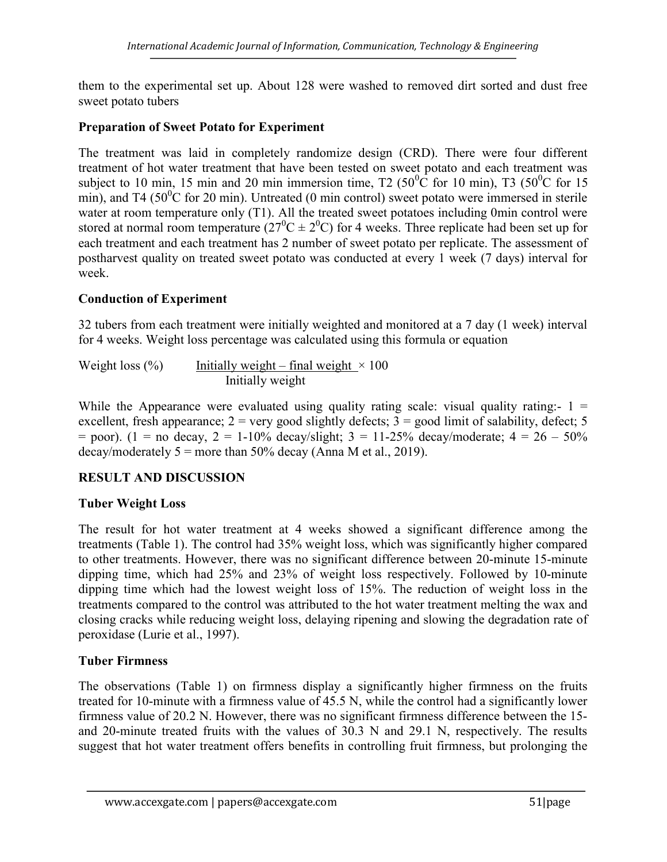them to the experimental set up. About 128 were washed to removed dirt sorted and dust free sweet potato tubers

#### Preparation of Sweet Potato for Experiment

The treatment was laid in completely randomize design (CRD). There were four different treatment of hot water treatment that have been tested on sweet potato and each treatment was subject to 10 min, 15 min and 20 min immersion time,  $T2$  (50<sup>0</sup>C for 10 min), T3 (50<sup>0</sup>C for 15 min), and T4 (50 $^{\circ}$ C for 20 min). Untreated (0 min control) sweet potato were immersed in sterile water at room temperature only (T1). All the treated sweet potatoes including 0min control were stored at normal room temperature  $(27^0C \pm 2^0C)$  for 4 weeks. Three replicate had been set up for each treatment and each treatment has 2 number of sweet potato per replicate. The assessment of postharvest quality on treated sweet potato was conducted at every 1 week (7 days) interval for week.

# Conduction of Experiment

32 tubers from each treatment were initially weighted and monitored at a 7 day (1 week) interval for 4 weeks. Weight loss percentage was calculated using this formula or equation

Weight loss  $(\%)$  Initially weight – final weight  $\times 100$ Initially weight

While the Appearance were evaluated using quality rating scale: visual quality rating:-  $1 =$ excellent, fresh appearance;  $2 = \text{very good slightly defects}$ ;  $3 = \text{good limit of salability, defect}$ ; 5  $=$  poor). (1 = no decay, 2 = 1-10% decay/slight; 3 = 11-25% decay/moderate; 4 = 26 – 50% decay/moderately  $5 =$  more than 50% decay (Anna M et al., 2019).

# RESULT AND DISCUSSION

# Tuber Weight Loss

The result for hot water treatment at 4 weeks showed a significant difference among the treatments (Table 1). The control had 35% weight loss, which was significantly higher compared to other treatments. However, there was no significant difference between 20-minute 15-minute dipping time, which had 25% and 23% of weight loss respectively. Followed by 10-minute dipping time which had the lowest weight loss of 15%. The reduction of weight loss in the treatments compared to the control was attributed to the hot water treatment melting the wax and closing cracks while reducing weight loss, delaying ripening and slowing the degradation rate of peroxidase (Lurie et al., 1997).

#### Tuber Firmness

The observations (Table 1) on firmness display a significantly higher firmness on the fruits treated for 10-minute with a firmness value of 45.5 N, while the control had a significantly lower firmness value of 20.2 N. However, there was no significant firmness difference between the 15 and 20-minute treated fruits with the values of 30.3 N and 29.1 N, respectively. The results suggest that hot water treatment offers benefits in controlling fruit firmness, but prolonging the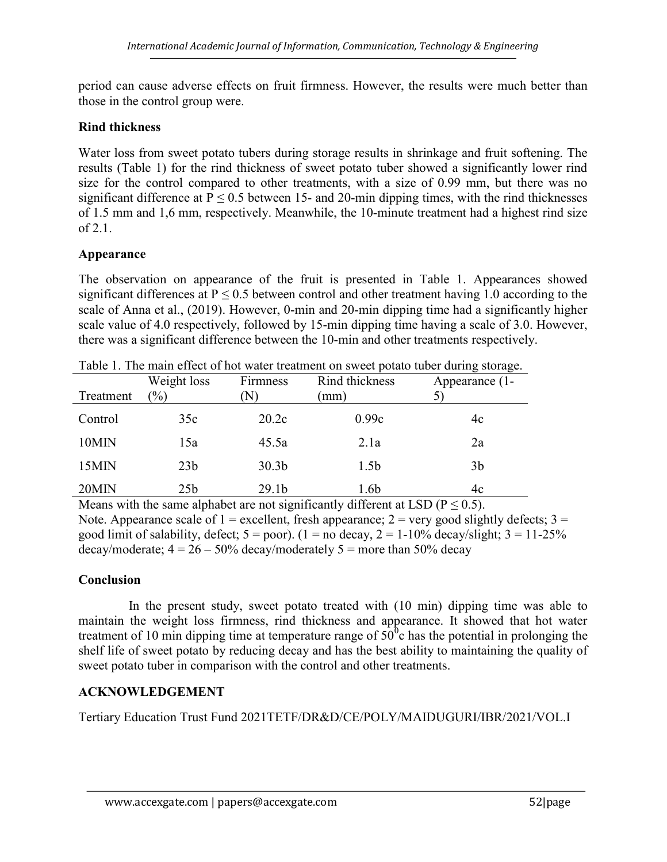period can cause adverse effects on fruit firmness. However, the results were much better than those in the control group were.

#### Rind thickness

Water loss from sweet potato tubers during storage results in shrinkage and fruit softening. The results (Table 1) for the rind thickness of sweet potato tuber showed a significantly lower rind size for the control compared to other treatments, with a size of 0.99 mm, but there was no significant difference at  $P \le 0.5$  between 15- and 20-min dipping times, with the rind thicknesses of 1.5 mm and 1,6 mm, respectively. Meanwhile, the 10-minute treatment had a highest rind size  $of 2.1.$ 

# Appearance

The observation on appearance of the fruit is presented in Table 1. Appearances showed significant differences at  $P \le 0.5$  between control and other treatment having 1.0 according to the scale of Anna et al., (2019). However, 0-min and 20-min dipping time had a significantly higher scale value of 4.0 respectively, followed by 15-min dipping time having a scale of 3.0. However, there was a significant difference between the 10-min and other treatments respectively.

|           | Weight loss     | Firmness          | Rind thickness   | Appearance (1- |
|-----------|-----------------|-------------------|------------------|----------------|
| Treatment | $\frac{1}{2}$   | $\rm N$           | (mm)             |                |
| Control   | 35c             | 20.2c             | 0.99c            | 4c             |
| 10MIN     | 15a             | 45.5a             | 2.1a             | 2a             |
| 15MIN     | 23 <sub>b</sub> | 30.3 <sub>b</sub> | 1.5 <sub>b</sub> | 3 <sub>b</sub> |
| 20MIN     | 25 <sub>b</sub> | 29.1 <sub>b</sub> | 1.6b             | 4c             |

Table 1. The main effect of hot water treatment on sweet potato tuber during storage.

Means with the same alphabet are not significantly different at LSD ( $P \le 0.5$ ). Note. Appearance scale of  $1 =$  excellent, fresh appearance;  $2 =$  very good slightly defects;  $3 =$ good limit of salability, defect;  $5 = poor$ ). ( $1 = no$  decay,  $2 = 1-10\%$  decay/slight;  $3 = 11-25\%$ decay/moderate;  $4 = 26 - 50\%$  decay/moderately  $5 =$  more than 50% decay

# **Conclusion**

 In the present study, sweet potato treated with (10 min) dipping time was able to maintain the weight loss firmness, rind thickness and appearance. It showed that hot water treatment of 10 min dipping time at temperature range of  $50^{\circ}$ c has the potential in prolonging the shelf life of sweet potato by reducing decay and has the best ability to maintaining the quality of sweet potato tuber in comparison with the control and other treatments.

# ACKNOWLEDGEMENT

Tertiary Education Trust Fund 2021TETF/DR&D/CE/POLY/MAIDUGURI/IBR/2021/VOL.I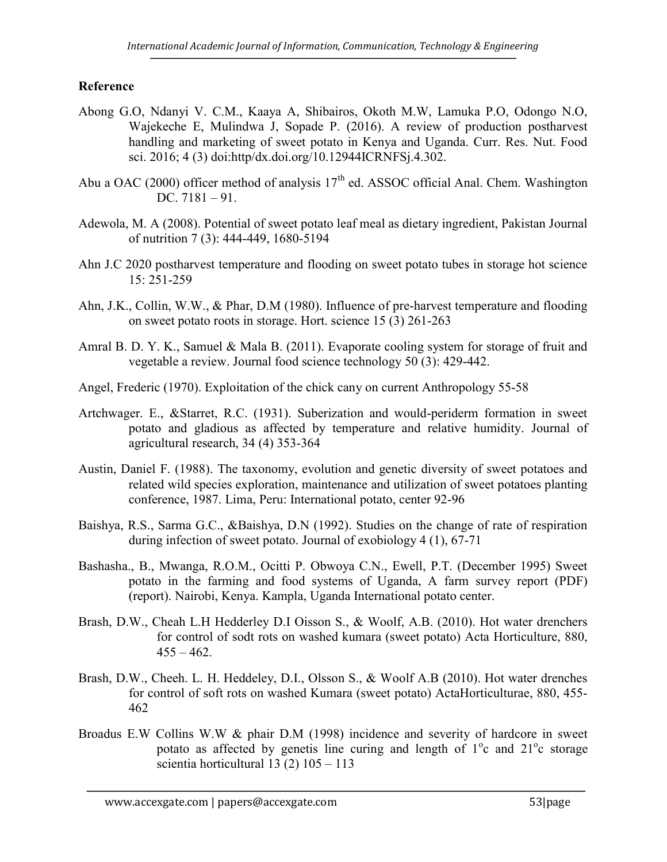#### Reference

- Abong G.O, Ndanyi V. C.M., Kaaya A, Shibairos, Okoth M.W, Lamuka P.O, Odongo N.O, Wajekeche E, Mulindwa J, Sopade P. (2016). A review of production postharvest handling and marketing of sweet potato in Kenya and Uganda. Curr. Res. Nut. Food sci. 2016; 4 (3) doi:http/dx.doi.org/10.12944ICRNFSj.4.302.
- Abu a OAC (2000) officer method of analysis  $17<sup>th</sup>$  ed. ASSOC official Anal. Chem. Washington DC. 7181 – 91.
- Adewola, M. A (2008). Potential of sweet potato leaf meal as dietary ingredient, Pakistan Journal of nutrition 7 (3): 444-449, 1680-5194
- Ahn J.C 2020 postharvest temperature and flooding on sweet potato tubes in storage hot science 15: 251-259
- Ahn, J.K., Collin, W.W., & Phar, D.M (1980). Influence of pre-harvest temperature and flooding on sweet potato roots in storage. Hort. science 15 (3) 261-263
- Amral B. D. Y. K., Samuel & Mala B. (2011). Evaporate cooling system for storage of fruit and vegetable a review. Journal food science technology 50 (3): 429-442.
- Angel, Frederic (1970). Exploitation of the chick cany on current Anthropology 55-58
- Artchwager. E., &Starret, R.C. (1931). Suberization and would-periderm formation in sweet potato and gladious as affected by temperature and relative humidity. Journal of agricultural research, 34 (4) 353-364
- Austin, Daniel F. (1988). The taxonomy, evolution and genetic diversity of sweet potatoes and related wild species exploration, maintenance and utilization of sweet potatoes planting conference, 1987. Lima, Peru: International potato, center 92-96
- Baishya, R.S., Sarma G.C., &Baishya, D.N (1992). Studies on the change of rate of respiration during infection of sweet potato. Journal of exobiology 4 (1), 67-71
- Bashasha., B., Mwanga, R.O.M., Ocitti P. Obwoya C.N., Ewell, P.T. (December 1995) Sweet potato in the farming and food systems of Uganda, A farm survey report (PDF) (report). Nairobi, Kenya. Kampla, Uganda International potato center.
- Brash, D.W., Cheah L.H Hedderley D.I Oisson S., & Woolf, A.B. (2010). Hot water drenchers for control of sodt rots on washed kumara (sweet potato) Acta Horticulture, 880,  $455 - 462$ .
- Brash, D.W., Cheeh. L. H. Heddeley, D.I., Olsson S., & Woolf A.B (2010). Hot water drenches for control of soft rots on washed Kumara (sweet potato) ActaHorticulturae, 880, 455- 462
- Broadus E.W Collins W.W & phair D.M (1998) incidence and severity of hardcore in sweet potato as affected by genetis line curing and length of  $1^{\circ}$ c and  $21^{\circ}$ c storage scientia horticultural 13 (2) 105 – 113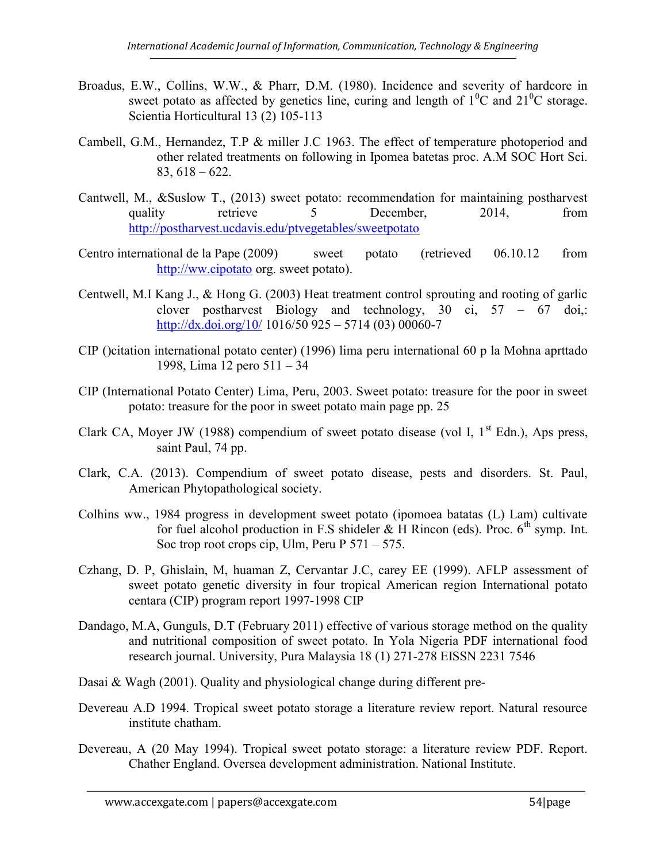- Broadus, E.W., Collins, W.W., & Pharr, D.M. (1980). Incidence and severity of hardcore in sweet potato as affected by genetics line, curing and length of  $1^{0}C$  and  $21^{0}C$  storage. Scientia Horticultural 13 (2) 105-113
- Cambell, G.M., Hernandez, T.P & miller J.C 1963. The effect of temperature photoperiod and other related treatments on following in Ipomea batetas proc. A.M SOC Hort Sci. 83, 618 – 622.
- Cantwell, M., &Suslow T., (2013) sweet potato: recommendation for maintaining postharvest quality retrieve 5 December, 2014, from http://postharvest.ucdavis.edu/ptvegetables/sweetpotato
- Centro international de la Pape (2009) sweet potato (retrieved 06.10.12 from http://ww.cipotato org. sweet potato).
- Centwell, M.I Kang J., & Hong G. (2003) Heat treatment control sprouting and rooting of garlic clover postharvest Biology and technology, 30 ci, 57 – 67 doi,: http://dx.doi.org/10/ 1016/50 925 – 5714 (03) 00060-7
- CIP ()citation international potato center) (1996) lima peru international 60 p la Mohna aprttado 1998, Lima 12 pero 511 – 34
- CIP (International Potato Center) Lima, Peru, 2003. Sweet potato: treasure for the poor in sweet potato: treasure for the poor in sweet potato main page pp. 25
- Clark CA, Moyer JW (1988) compendium of sweet potato disease (vol I,  $1<sup>st</sup>$  Edn.), Aps press, saint Paul, 74 pp.
- Clark, C.A. (2013). Compendium of sweet potato disease, pests and disorders. St. Paul, American Phytopathological society.
- Colhins ww., 1984 progress in development sweet potato (ipomoea batatas (L) Lam) cultivate for fuel alcohol production in F.S shideler  $&$  H Rincon (eds). Proc.  $6<sup>th</sup>$  symp. Int. Soc trop root crops cip, Ulm, Peru P 571 – 575.
- Czhang, D. P, Ghislain, M, huaman Z, Cervantar J.C, carey EE (1999). AFLP assessment of sweet potato genetic diversity in four tropical American region International potato centara (CIP) program report 1997-1998 CIP
- Dandago, M.A, Gunguls, D.T (February 2011) effective of various storage method on the quality and nutritional composition of sweet potato. In Yola Nigeria PDF international food research journal. University, Pura Malaysia 18 (1) 271-278 EISSN 2231 7546

Dasai & Wagh (2001). Quality and physiological change during different pre-

- Devereau A.D 1994. Tropical sweet potato storage a literature review report. Natural resource institute chatham.
- Devereau, A (20 May 1994). Tropical sweet potato storage: a literature review PDF. Report. Chather England. Oversea development administration. National Institute.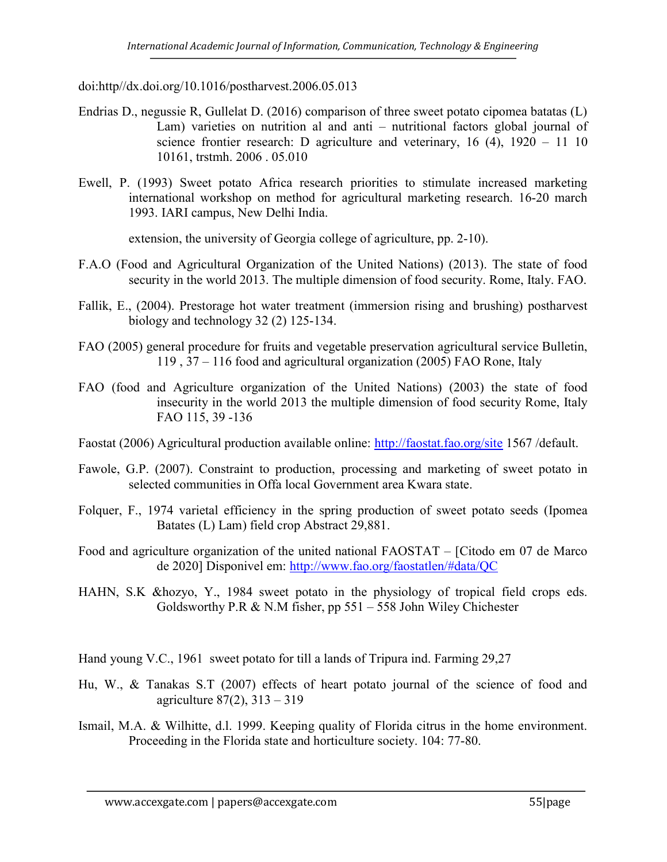doi:http//dx.doi.org/10.1016/postharvest.2006.05.013

- Endrias D., negussie R, Gullelat D. (2016) comparison of three sweet potato cipomea batatas (L) Lam) varieties on nutrition al and anti – nutritional factors global journal of science frontier research: D agriculture and veterinary, 16 (4), 1920 – 11 10 10161, trstmh. 2006 . 05.010
- Ewell, P. (1993) Sweet potato Africa research priorities to stimulate increased marketing international workshop on method for agricultural marketing research. 16-20 march 1993. IARI campus, New Delhi India.

extension, the university of Georgia college of agriculture, pp. 2-10).

- F.A.O (Food and Agricultural Organization of the United Nations) (2013). The state of food security in the world 2013. The multiple dimension of food security. Rome, Italy. FAO.
- Fallik, E., (2004). Prestorage hot water treatment (immersion rising and brushing) postharvest biology and technology 32 (2) 125-134.
- FAO (2005) general procedure for fruits and vegetable preservation agricultural service Bulletin, 119 , 37 – 116 food and agricultural organization (2005) FAO Rone, Italy
- FAO (food and Agriculture organization of the United Nations) (2003) the state of food insecurity in the world 2013 the multiple dimension of food security Rome, Italy FAO 115, 39 -136
- Faostat (2006) Agricultural production available online: http://faostat.fao.org/site 1567 /default.
- Fawole, G.P. (2007). Constraint to production, processing and marketing of sweet potato in selected communities in Offa local Government area Kwara state.
- Folquer, F., 1974 varietal efficiency in the spring production of sweet potato seeds (Ipomea Batates (L) Lam) field crop Abstract 29,881.
- Food and agriculture organization of the united national FAOSTAT [Citodo em 07 de Marco de 2020] Disponivel em: http://www.fao.org/faostatlen/#data/QC
- HAHN, S.K &hozyo, Y., 1984 sweet potato in the physiology of tropical field crops eds. Goldsworthy P.R & N.M fisher, pp 551 – 558 John Wiley Chichester

Hand young V.C., 1961 sweet potato for till a lands of Tripura ind. Farming 29,27

- Hu, W., & Tanakas S.T (2007) effects of heart potato journal of the science of food and agriculture 87(2), 313 – 319
- Ismail, M.A. & Wilhitte, d.l. 1999. Keeping quality of Florida citrus in the home environment. Proceeding in the Florida state and horticulture society. 104: 77-80.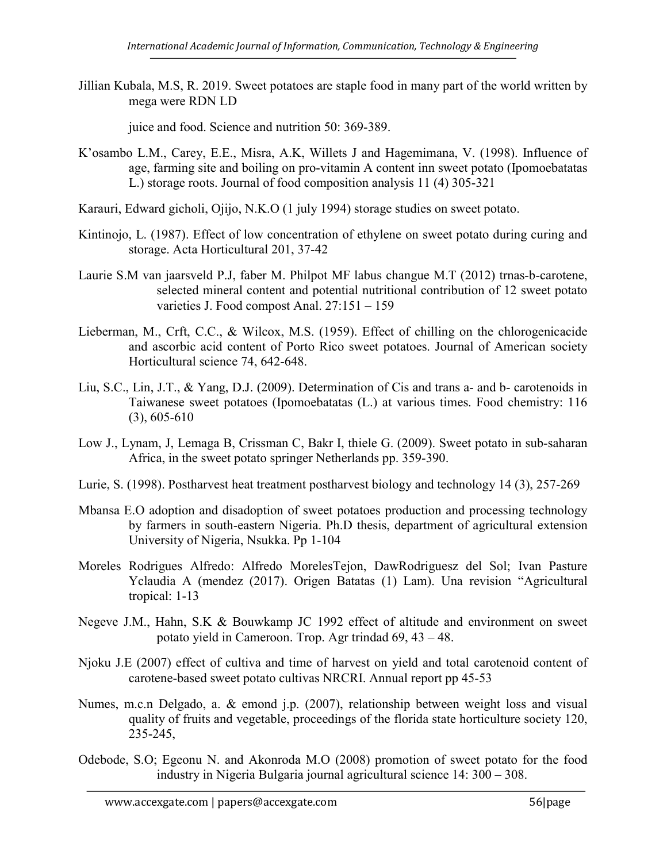Jillian Kubala, M.S, R. 2019. Sweet potatoes are staple food in many part of the world written by mega were RDN LD

juice and food. Science and nutrition 50: 369-389.

- K'osambo L.M., Carey, E.E., Misra, A.K, Willets J and Hagemimana, V. (1998). Influence of age, farming site and boiling on pro-vitamin A content inn sweet potato (Ipomoebatatas L.) storage roots. Journal of food composition analysis 11 (4) 305-321
- Karauri, Edward gicholi, Ojijo, N.K.O (1 july 1994) storage studies on sweet potato.
- Kintinojo, L. (1987). Effect of low concentration of ethylene on sweet potato during curing and storage. Acta Horticultural 201, 37-42
- Laurie S.M van jaarsveld P.J, faber M. Philpot MF labus changue M.T (2012) trnas-b-carotene, selected mineral content and potential nutritional contribution of 12 sweet potato varieties J. Food compost Anal. 27:151 – 159
- Lieberman, M., Crft, C.C., & Wilcox, M.S. (1959). Effect of chilling on the chlorogenicacide and ascorbic acid content of Porto Rico sweet potatoes. Journal of American society Horticultural science 74, 642-648.
- Liu, S.C., Lin, J.T., & Yang, D.J. (2009). Determination of Cis and trans a- and b- carotenoids in Taiwanese sweet potatoes (Ipomoebatatas (L.) at various times. Food chemistry: 116 (3), 605-610
- Low J., Lynam, J, Lemaga B, Crissman C, Bakr I, thiele G. (2009). Sweet potato in sub-saharan Africa, in the sweet potato springer Netherlands pp. 359-390.
- Lurie, S. (1998). Postharvest heat treatment postharvest biology and technology 14 (3), 257-269
- Mbansa E.O adoption and disadoption of sweet potatoes production and processing technology by farmers in south-eastern Nigeria. Ph.D thesis, department of agricultural extension University of Nigeria, Nsukka. Pp 1-104
- Moreles Rodrigues Alfredo: Alfredo MorelesTejon, DawRodriguesz del Sol; Ivan Pasture Yclaudia A (mendez (2017). Origen Batatas (1) Lam). Una revision "Agricultural tropical: 1-13
- Negeve J.M., Hahn, S.K & Bouwkamp JC 1992 effect of altitude and environment on sweet potato yield in Cameroon. Trop. Agr trindad 69, 43 – 48.
- Njoku J.E (2007) effect of cultiva and time of harvest on yield and total carotenoid content of carotene-based sweet potato cultivas NRCRI. Annual report pp 45-53
- Numes, m.c.n Delgado, a. & emond j.p. (2007), relationship between weight loss and visual quality of fruits and vegetable, proceedings of the florida state horticulture society 120, 235-245,
- Odebode, S.O; Egeonu N. and Akonroda M.O (2008) promotion of sweet potato for the food industry in Nigeria Bulgaria journal agricultural science 14: 300 – 308.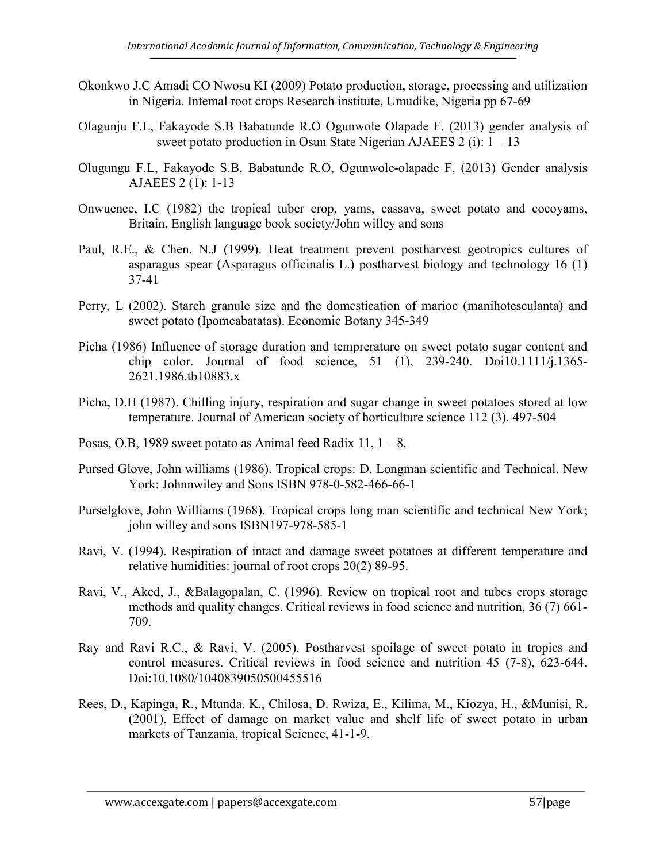- Okonkwo J.C Amadi CO Nwosu KI (2009) Potato production, storage, processing and utilization in Nigeria. Intemal root crops Research institute, Umudike, Nigeria pp 67-69
- Olagunju F.L, Fakayode S.B Babatunde R.O Ogunwole Olapade F. (2013) gender analysis of sweet potato production in Osun State Nigerian AJAEES  $2$  (i):  $1 - 13$
- Olugungu F.L, Fakayode S.B, Babatunde R.O, Ogunwole-olapade F, (2013) Gender analysis AJAEES 2 (1): 1-13
- Onwuence, I.C (1982) the tropical tuber crop, yams, cassava, sweet potato and cocoyams, Britain, English language book society/John willey and sons
- Paul, R.E., & Chen. N.J (1999). Heat treatment prevent postharvest geotropics cultures of asparagus spear (Asparagus officinalis L.) postharvest biology and technology 16 (1) 37-41
- Perry, L (2002). Starch granule size and the domestication of marioc (manihotesculanta) and sweet potato (Ipomeabatatas). Economic Botany 345-349
- Picha (1986) Influence of storage duration and temprerature on sweet potato sugar content and chip color. Journal of food science, 51 (1), 239-240. Doi10.1111/j.1365- 2621.1986.tb10883.x
- Picha, D.H (1987). Chilling injury, respiration and sugar change in sweet potatoes stored at low temperature. Journal of American society of horticulture science 112 (3). 497-504
- Posas, O.B, 1989 sweet potato as Animal feed Radix 11,  $1 8$ .
- Pursed Glove, John williams (1986). Tropical crops: D. Longman scientific and Technical. New York: Johnnwiley and Sons ISBN 978-0-582-466-66-1
- Purselglove, John Williams (1968). Tropical crops long man scientific and technical New York; john willey and sons ISBN197-978-585-1
- Ravi, V. (1994). Respiration of intact and damage sweet potatoes at different temperature and relative humidities: journal of root crops 20(2) 89-95.
- Ravi, V., Aked, J., &Balagopalan, C. (1996). Review on tropical root and tubes crops storage methods and quality changes. Critical reviews in food science and nutrition, 36 (7) 661- 709.
- Ray and Ravi R.C., & Ravi, V. (2005). Postharvest spoilage of sweet potato in tropics and control measures. Critical reviews in food science and nutrition 45 (7-8), 623-644. Doi:10.1080/1040839050500455516
- Rees, D., Kapinga, R., Mtunda. K., Chilosa, D. Rwiza, E., Kilima, M., Kiozya, H., &Munisi, R. (2001). Effect of damage on market value and shelf life of sweet potato in urban markets of Tanzania, tropical Science, 41-1-9.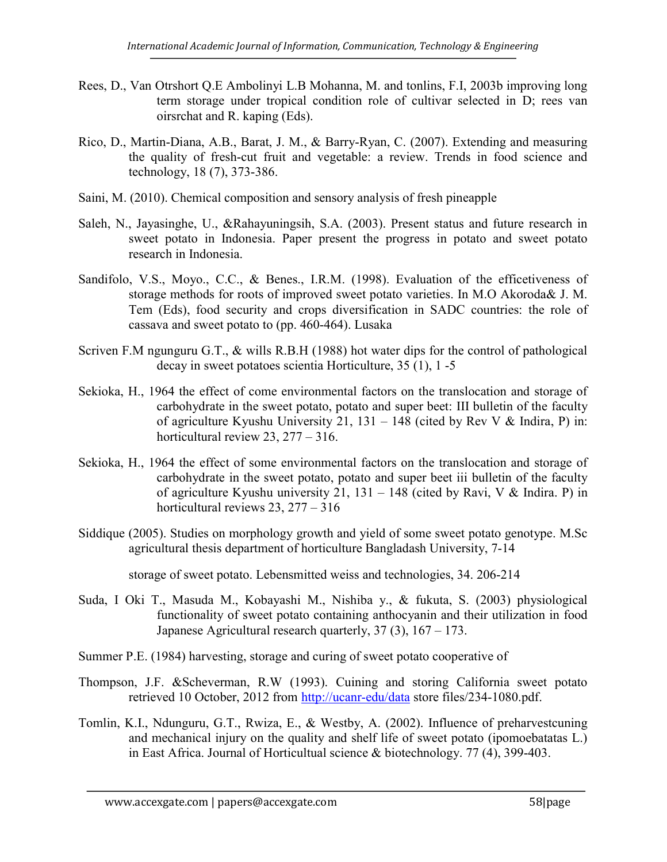- Rees, D., Van Otrshort Q.E Ambolinyi L.B Mohanna, M. and tonlins, F.I, 2003b improving long term storage under tropical condition role of cultivar selected in D; rees van oirsrchat and R. kaping (Eds).
- Rico, D., Martin-Diana, A.B., Barat, J. M., & Barry-Ryan, C. (2007). Extending and measuring the quality of fresh-cut fruit and vegetable: a review. Trends in food science and technology, 18 (7), 373-386.
- Saini, M. (2010). Chemical composition and sensory analysis of fresh pineapple
- Saleh, N., Jayasinghe, U., &Rahayuningsih, S.A. (2003). Present status and future research in sweet potato in Indonesia. Paper present the progress in potato and sweet potato research in Indonesia.
- Sandifolo, V.S., Moyo., C.C., & Benes., I.R.M. (1998). Evaluation of the efficetiveness of storage methods for roots of improved sweet potato varieties. In M.O Akoroda& J. M. Tem (Eds), food security and crops diversification in SADC countries: the role of cassava and sweet potato to (pp. 460-464). Lusaka
- Scriven F.M ngunguru G.T., & wills R.B.H (1988) hot water dips for the control of pathological decay in sweet potatoes scientia Horticulture, 35 (1), 1 -5
- Sekioka, H., 1964 the effect of come environmental factors on the translocation and storage of carbohydrate in the sweet potato, potato and super beet: III bulletin of the faculty of agriculture Kyushu University 21, 131 – 148 (cited by Rev V & Indira, P) in: horticultural review 23, 277 – 316.
- Sekioka, H., 1964 the effect of some environmental factors on the translocation and storage of carbohydrate in the sweet potato, potato and super beet iii bulletin of the faculty of agriculture Kyushu university 21,  $131 - 148$  (cited by Ravi, V & Indira. P) in horticultural reviews 23, 277 – 316
- Siddique (2005). Studies on morphology growth and yield of some sweet potato genotype. M.Sc agricultural thesis department of horticulture Bangladash University, 7-14

storage of sweet potato. Lebensmitted weiss and technologies, 34. 206-214

- Suda, I Oki T., Masuda M., Kobayashi M., Nishiba y., & fukuta, S. (2003) physiological functionality of sweet potato containing anthocyanin and their utilization in food Japanese Agricultural research quarterly, 37 (3), 167 – 173.
- Summer P.E. (1984) harvesting, storage and curing of sweet potato cooperative of
- Thompson, J.F. &Scheverman, R.W (1993). Cuining and storing California sweet potato retrieved 10 October, 2012 from http://ucanr-edu/data store files/234-1080.pdf.
- Tomlin, K.I., Ndunguru, G.T., Rwiza, E., & Westby, A. (2002). Influence of preharvestcuning and mechanical injury on the quality and shelf life of sweet potato (ipomoebatatas L.) in East Africa. Journal of Horticultual science & biotechnology. 77 (4), 399-403.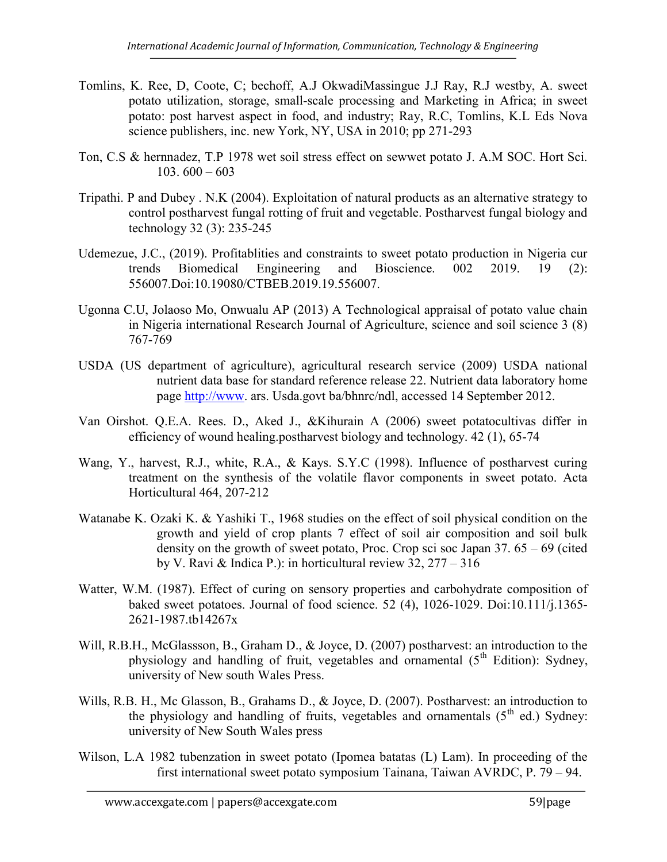- Tomlins, K. Ree, D, Coote, C; bechoff, A.J OkwadiMassingue J.J Ray, R.J westby, A. sweet potato utilization, storage, small-scale processing and Marketing in Africa; in sweet potato: post harvest aspect in food, and industry; Ray, R.C, Tomlins, K.L Eds Nova science publishers, inc. new York, NY, USA in 2010; pp 271-293
- Ton, C.S & hernnadez, T.P 1978 wet soil stress effect on sewwet potato J. A.M SOC. Hort Sci.  $103. 600 - 603$
- Tripathi. P and Dubey . N.K (2004). Exploitation of natural products as an alternative strategy to control postharvest fungal rotting of fruit and vegetable. Postharvest fungal biology and technology 32 (3): 235-245
- Udemezue, J.C., (2019). Profitablities and constraints to sweet potato production in Nigeria cur trends Biomedical Engineering and Bioscience. 002 2019. 19 (2): 556007.Doi:10.19080/CTBEB.2019.19.556007.
- Ugonna C.U, Jolaoso Mo, Onwualu AP (2013) A Technological appraisal of potato value chain in Nigeria international Research Journal of Agriculture, science and soil science 3 (8) 767-769
- USDA (US department of agriculture), agricultural research service (2009) USDA national nutrient data base for standard reference release 22. Nutrient data laboratory home page http://www. ars. Usda.govt ba/bhnrc/ndl, accessed 14 September 2012.
- Van Oirshot. Q.E.A. Rees. D., Aked J., &Kihurain A (2006) sweet potatocultivas differ in efficiency of wound healing.postharvest biology and technology. 42 (1), 65-74
- Wang, Y., harvest, R.J., white, R.A., & Kays. S.Y.C (1998). Influence of postharvest curing treatment on the synthesis of the volatile flavor components in sweet potato. Acta Horticultural 464, 207-212
- Watanabe K. Ozaki K. & Yashiki T., 1968 studies on the effect of soil physical condition on the growth and yield of crop plants 7 effect of soil air composition and soil bulk density on the growth of sweet potato, Proc. Crop sci soc Japan 37. 65 – 69 (cited by V. Ravi & Indica P.): in horticultural review 32, 277 – 316
- Watter, W.M. (1987). Effect of curing on sensory properties and carbohydrate composition of baked sweet potatoes. Journal of food science. 52 (4), 1026-1029. Doi:10.111/j.1365- 2621-1987.tb14267x
- Will, R.B.H., McGlassson, B., Graham D., & Joyce, D. (2007) postharvest: an introduction to the physiology and handling of fruit, vegetables and ornamental  $(5<sup>th</sup> Edition)$ : Sydney, university of New south Wales Press.
- Wills, R.B. H., Mc Glasson, B., Grahams D., & Joyce, D. (2007). Postharvest: an introduction to the physiology and handling of fruits, vegetables and ornamentals  $(5<sup>th</sup>$  ed.) Sydney: university of New South Wales press
- Wilson, L.A 1982 tubenzation in sweet potato (Ipomea batatas (L) Lam). In proceeding of the first international sweet potato symposium Tainana, Taiwan AVRDC, P. 79 – 94.